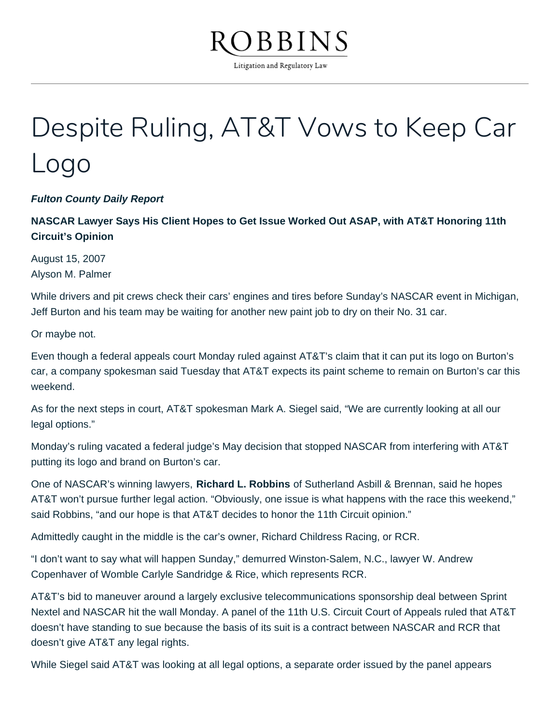

Litigation and Regulatory Law

## Despite Ruling, AT&T Vows to Keep Car Logo

**Fulton County Daily Report**

**NASCAR Lawyer Says His Client Hopes to Get Issue Worked Out ASAP, with AT&T Honoring 11th Circuit's Opinion**

August 15, 2007 Alyson M. Palmer

While drivers and pit crews check their cars' engines and tires before Sunday's NASCAR event in Michigan, Jeff Burton and his team may be waiting for another new paint job to dry on their No. 31 car.

Or maybe not.

Even though a federal appeals court Monday ruled against AT&T's claim that it can put its logo on Burton's car, a company spokesman said Tuesday that AT&T expects its paint scheme to remain on Burton's car this weekend.

As for the next steps in court, AT&T spokesman Mark A. Siegel said, "We are currently looking at all our legal options."

Monday's ruling vacated a federal judge's May decision that stopped NASCAR from interfering with AT&T putting its logo and brand on Burton's car.

One of NASCAR's winning lawyers, **Richard L. Robbins** of Sutherland Asbill & Brennan, said he hopes AT&T won't pursue further legal action. "Obviously, one issue is what happens with the race this weekend," said Robbins, "and our hope is that AT&T decides to honor the 11th Circuit opinion."

Admittedly caught in the middle is the car's owner, Richard Childress Racing, or RCR.

"I don't want to say what will happen Sunday," demurred Winston-Salem, N.C., lawyer W. Andrew Copenhaver of Womble Carlyle Sandridge & Rice, which represents RCR.

AT&T's bid to maneuver around a largely exclusive telecommunications sponsorship deal between Sprint Nextel and NASCAR hit the wall Monday. A panel of the 11th U.S. Circuit Court of Appeals ruled that AT&T doesn't have standing to sue because the basis of its suit is a contract between NASCAR and RCR that doesn't give AT&T any legal rights.

While Siegel said AT&T was looking at all legal options, a separate order issued by the panel appears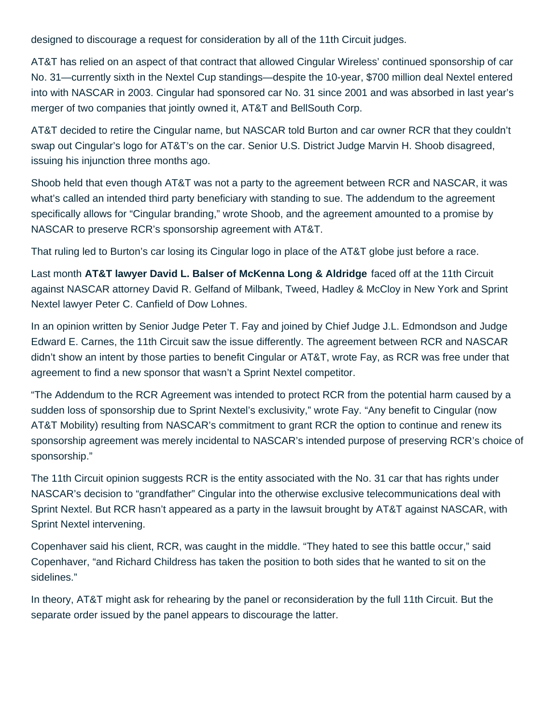designed to discourage a request for consideration by all of the 11th Circuit judges.

AT&T has relied on an aspect of that contract that allowed Cingular Wireless' continued sponsorship of car No. 31—currently sixth in the Nextel Cup standings—despite the 10-year, \$700 million deal Nextel entered into with NASCAR in 2003. Cingular had sponsored car No. 31 since 2001 and was absorbed in last year's merger of two companies that jointly owned it, AT&T and BellSouth Corp.

AT&T decided to retire the Cingular name, but NASCAR told Burton and car owner RCR that they couldn't swap out Cingular's logo for AT&T's on the car. Senior U.S. District Judge Marvin H. Shoob disagreed, issuing his injunction three months ago.

Shoob held that even though AT&T was not a party to the agreement between RCR and NASCAR, it was what's called an intended third party beneficiary with standing to sue. The addendum to the agreement specifically allows for "Cingular branding," wrote Shoob, and the agreement amounted to a promise by NASCAR to preserve RCR's sponsorship agreement with AT&T.

That ruling led to Burton's car losing its Cingular logo in place of the AT&T globe just before a race.

Last month **AT&T lawyer David L. Balser of McKenna Long & Aldridge** faced off at the 11th Circuit against NASCAR attorney David R. Gelfand of Milbank, Tweed, Hadley & McCloy in New York and Sprint Nextel lawyer Peter C. Canfield of Dow Lohnes.

In an opinion written by Senior Judge Peter T. Fay and joined by Chief Judge J.L. Edmondson and Judge Edward E. Carnes, the 11th Circuit saw the issue differently. The agreement between RCR and NASCAR didn't show an intent by those parties to benefit Cingular or AT&T, wrote Fay, as RCR was free under that agreement to find a new sponsor that wasn't a Sprint Nextel competitor.

"The Addendum to the RCR Agreement was intended to protect RCR from the potential harm caused by a sudden loss of sponsorship due to Sprint Nextel's exclusivity," wrote Fay. "Any benefit to Cingular (now AT&T Mobility) resulting from NASCAR's commitment to grant RCR the option to continue and renew its sponsorship agreement was merely incidental to NASCAR's intended purpose of preserving RCR's choice of sponsorship."

The 11th Circuit opinion suggests RCR is the entity associated with the No. 31 car that has rights under NASCAR's decision to "grandfather" Cingular into the otherwise exclusive telecommunications deal with Sprint Nextel. But RCR hasn't appeared as a party in the lawsuit brought by AT&T against NASCAR, with Sprint Nextel intervening.

Copenhaver said his client, RCR, was caught in the middle. "They hated to see this battle occur," said Copenhaver, "and Richard Childress has taken the position to both sides that he wanted to sit on the sidelines."

In theory, AT&T might ask for rehearing by the panel or reconsideration by the full 11th Circuit. But the separate order issued by the panel appears to discourage the latter.